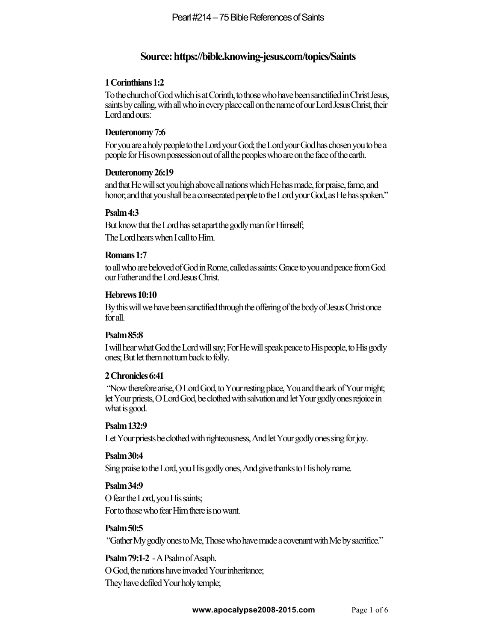# **Source: https://bible.knowing-jesus.com/topics/Saints**

# **1 Corinthians 1:2**

To the church of God which is at Corinth, to those who have been sanctified in Christ Jesus, saints by calling, with all who in every place call on the name of our Lord Jesus Christ, their Lord and ours:

# **Deuteronomy 7:6**

For you are a holy people to the Lord your God; the Lord your God has chosen you to be a people for His own possession out of all the peoples who are on the face of the earth.

# **Deuteronomy 26:19**

and that He will set you high above all nations which He has made, for praise, fame, and honor; and that you shall be a consecrated people to the Lord your God, as He has spoken."

# **Psalm 4:3**

But know that the Lord has set apart the godly man for Himself; The Lord hears when I call to Him.

# **Romans 1:7**

to all who are beloved of God in Rome, called as saints: Grace to you and peace from God our Father and the Lord Jesus Christ.

# **Hebrews 10:10**

By this will we have been sanctified through the offering of the body of Jesus Christ once for all.

# **Psalm 85:8**

I will hear what God the Lord will say; For He will speak peace to His people, to His godly ones; But let them not turn back to folly.

# **2 Chronicles 6:41**

"Now therefore arise, O Lord God, to Yourresting place, You and the ark of Your might; let Your priests, O Lord God, be clothed with salvation and let Your godly ones rejoice in what is good.

# **Psalm 132:9**

Let Your priests be clothed with righteousness, And let Your godly ones sing for joy.

# **Psalm 30:4**

Sing praise to the Lord, you His godly ones, And give thanks to His holy name.

# **Psalm 34:9**

O fear the Lord, you His saints; For to those who fear Him there is no want.

# **Psalm 50:5**

"Gather My godly ones to Me, Those who have made a covenant with Meby sacrifice."

**Psalm 79:1-2** -A Psalm of Asaph. O God, the nations have invaded Your inheritance; They have defiled Your holy temple;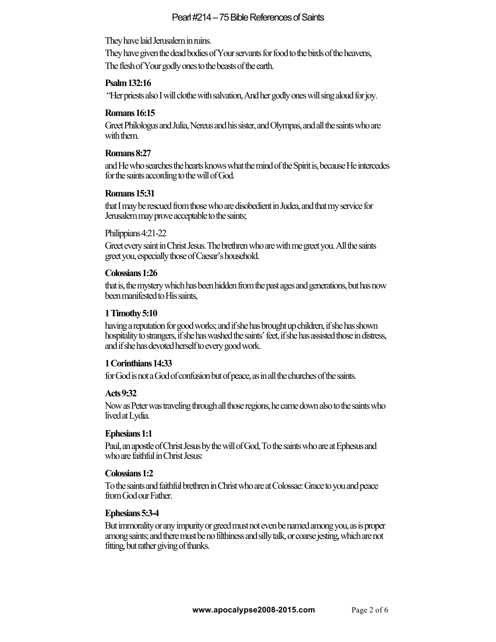They have laid Jerusalem in ruins.

They have given the dead bodies of Your servants for food to the birds of the heavens, The flesh of Your godly ones to the beasts of the earth.

## **Psalm 132:16**

"Her priests also I will clothe with salvation, And her godly ones will sing aloud for joy.

#### **Romans 16:15**

Greet Philologus and Julia, Nereus and his sister, and Olympas, and all thesaints who are with them.

## **Romans 8:27**

and He who searches the hearts knows what the mind of the Spirit is, because He intercedes for the saints according to the will of God.

## **Romans 15:31**

thatI may be rescued from those who are disobedient in Judea, and that my service for Jerusalem may prove acceptable to the saints;

## Philippians 4:21-22

Greet every saint in Christ Jesus. The brethren who are with me greet you. All the saints greet you, especially those of Caesar's household.

## **Colossians 1:26**

that is, the mystery which has been hidden from the past ages and generations, but has now been manifested to His saints,

## **1 Timothy 5:10**

having a reputation for good works; and if she has brought up children, if she has shown hospitality to strangers, if she has washed the saints' feet, if she has assisted those in distress, and if she has devoted herself to every good work.

# **1 Corinthians 14:33**

for God is not a God of confusion but of peace, as in all the churches of the saints.

#### **Acts 9:32**

Now as Peter was traveling through all those regions, he came down also tothe saints who lived at Lydia.

#### **Ephesians 1:1**

Paul, an apostle of Christ Jesus by the will of God,To the saints who are at Ephesus and who are faithful in Christ Jesus:

#### **Colossians 1:2**

To the saints and faithful brethren in Christ who are at Colossae: Grace to you and peace from God our Father.

#### **Ephesians 5:3-4**

But immorality or any impurity or greed must not even be named among you, as is proper among saints; and there must be no filthiness and silly talk, or coarse jesting, which are not fitting, but rather giving of thanks.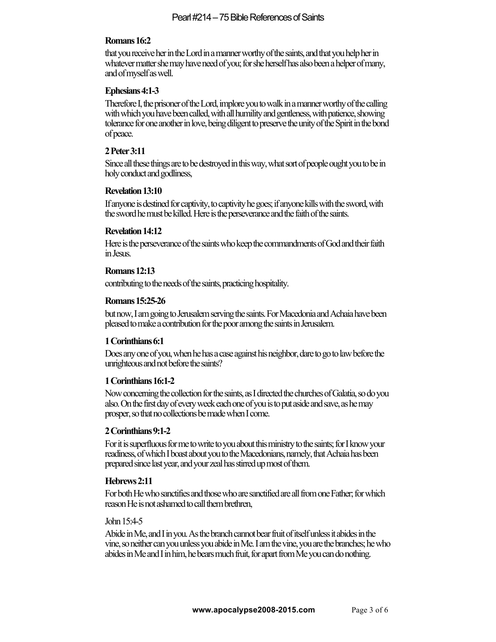## **Romans 16:2**

that you receive her in the Lord in a manner worthy of the saints, and that you help her in whatever matter she may have need of you; for she herself has also been a helper of many, and of myself as well.

## **Ephesians 4:1-3**

Therefore I, the prisoner of the Lord, implore you to walk in a manner worthy of the calling with which you have been called, with all humility and gentleness, with patience, showing tolerance for one another in love, being diligent to preserve the unity of the Spirit in the bond of peace.

## **2 Peter 3:11**

Since all these things are to be destroyed in this way, what sort of people ought you to be in holy conduct and godliness,

#### **Revelation 13:10**

If anyone is destined for captivity, to captivity he goes; if anyone kills with the sword, with the sword he must be killed. Here is the perseverance and the faith of the saints.

#### **Revelation 14:12**

Here is the perseverance of the saints who keep the commandments of God and their faith in Jesus.

#### **Romans 12:13**

contributing to the needs of the saints, practicing hospitality.

#### **Romans 15:25-26**

but now, I am going to Jerusalem serving the saints. For Macedoniaand Achaia have been pleased to make a contribution for the poor among the saints in Jerusalem.

#### **1 Corinthians 6:1**

Does any one of you, when he has a case against his neighbor, dare to go to law before the unrighteous and not before the saints?

#### **1 Corinthians 16:1-2**

Now concerning the collection for the saints, as I directed the churches of Galatia, so do you also. On the first day of every week each one of you is to put aside and save, as he may prosper, so that no collections be made when I come.

#### **2 Corinthians 9:1-2**

For it is superfluous for me to write to you about this ministry to the saints; for I know your readiness, of which I boast about you to the Macedonians, namely, that Achaia has been prepared since last year, and your zeal has stirred up most of them.

#### **Hebrews 2:11**

For both He who sanctifies and those who are sanctified are all from one Father; for which reason He is not ashamed to call them brethren,

#### John 15:4-5

Abide in Me, and I in you. As the branch cannot bear fruit of itself unless it abides in the vine, so neither can you unless you abide in Me. I am the vine, you are the branches; he who abides in Me and I in him, he bears much fruit, for apart from Me you can do nothing.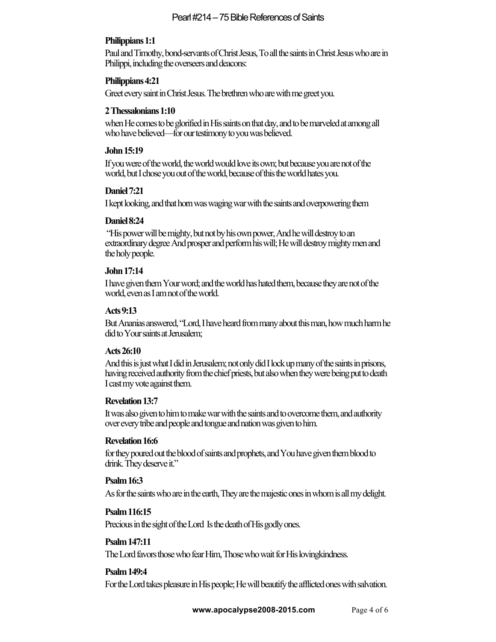# **Philippians 1:1**

Paul and Timothy, bond-servants of Christ Jesus,To all the saints in Christ Jesus who are in Philippi, including the overseers and deacons:

## **Philippians 4:21**

Greet every saint in Christ Jesus. The brethren who are with me greet you.

#### **2 Thessalonians 1:10**

when He comes to be glorified in His saints on that day, and to be marveled at among all who have believed—for our testimony to you was believed.

#### **John 15:19**

If you were of the world, the world would love its own; but because you are not of the world, but I chose you out of the world, because of this the world hates you.

## **Daniel 7:21**

I kept looking, and that horn was waging war with the saints and overpowering them

## **Daniel 8:24**

"His power will be mighty, but not by his own power, And he will destroy to an extraordinary degree And prosper and perform his will; He will destroy mighty men and the holy people.

## **John 17:14**

I have given them Your word; and the world has hated them, because they are not of the world, even as I am not of the world.

## **Acts 9:13**

But Ananias answered, "Lord,I have heard from many about this man, how much harm he did to Your saints at Jerusalem;

# **Acts 26:10**

And this is just what I did in Jerusalem; not only did I lock up many of the saints in prisons, having received authority from the chief priests, but alsowhen they were being put to death I cast my vote against them.

# **Revelation 13:7**

It was also given to him to make war with the saints and to overcome them, and authority over every tribe and people and tongue and nation was given to him.

# **Revelation 16:6**

for they poured out the blood of saints and prophets, and You have given them blood to drink. They deserve it."

# **Psalm 16:3**

As for the saints who are in the earth, They are the majestic ones in whom is all my delight.

# **Psalm 116:15**

Precious in the sight of the Lord Is the death of His godly ones.

# **Psalm 147:11**

The Lord favors those who fear Him, Those who wait for His lovingkindness.

# **Psalm 149:4**

For the Lord takes pleasure in His people; He will beautify the afflicted ones with salvation.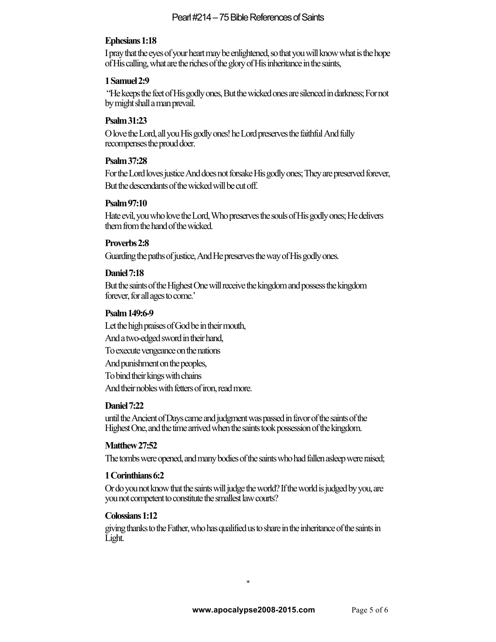# **Ephesians 1:18**

I pray that the eyes of your heart may be enlightened, so that you will know what is the hope of His calling, what are the riches of the glory of His inheritance in the saints,

#### **1 Samuel 2:9**

"He keeps the feet of His godly ones, But the wickedones are silenced in darkness; For not by might shall a man prevail.

## **Psalm 31:23**

O love the Lord, all you His godly ones! he Lord preserves the faithful And fully recompenses the proud doer.

## **Psalm 37:28**

For the Lord loves justice And does not forsake His godly ones; They are preserved forever, But the descendants of the wicked will be cut off.

## **Psalm 97:10**

Hate evil, you who love the Lord, Who preserves the souls of His godly ones; He delivers them from the hand of the wicked.

## **Proverbs 2:8**

Guarding the paths of justice, And He preserves the way of His godly ones.

## **Daniel 7:18**

But the saints of the Highest One will receive the kingdom and possess the kingdom forever, for all ages to come.'

## **Psalm 149:6-9**

Let the high praises of God be in their mouth, And a two-edged sword in their hand, To execute vengeance on the nations And punishment on the peoples, To bind their kings with chains And their nobles with fetters of iron, read more.

# **Daniel 7:22**

until the Ancient of Days came and judgment was passed in favor of the saints of the Highest One, and the time arrived when the saints took possession of the kingdom.

# **Matthew 27:52**

The tombs were opened, and many bodies of the saints who had fallen asleep wereraised;

#### **1 Corinthians 6:2**

Or do you not know that the saints will judge the world? If the world is judged by you, are you not competent to constitute the smallest law courts?

# **Colossians 1:12**

giving thanks to the Father, who has qualified us to share in the inheritance of the saints in Light.